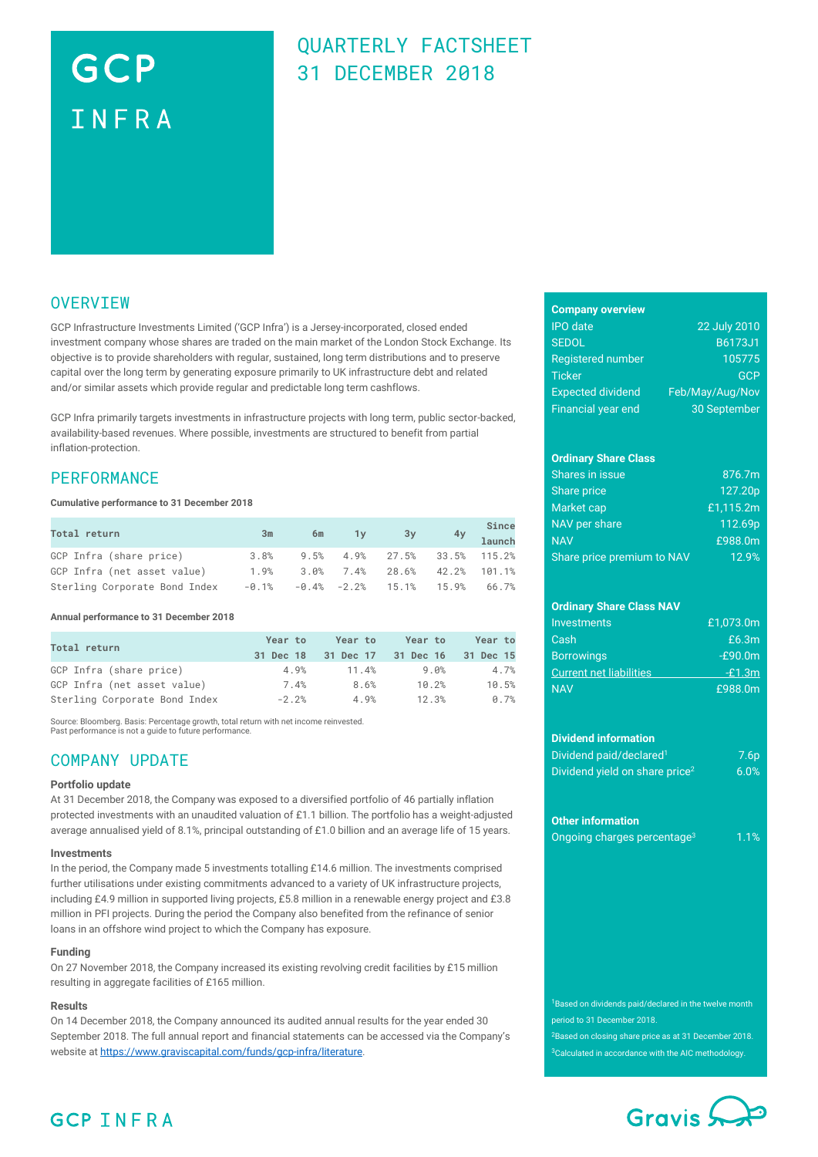# GCP INFRA

# QUARTERLY FACTSHEET 31 DECEMBER 2018

### **OVERVIEW**

GCP Infrastructure Investments Limited ('GCP Infra') is a Jersey-incorporated, closed ended investment company whose shares are traded on the main market of the London Stock Exchange. Its objective is to provide shareholders with regular, sustained, long term distributions and to preserve capital over the long term by generating exposure primarily to UK infrastructure debt and related and/or similar assets which provide regular and predictable long term cashflows.

GCP Infra primarily targets investments in infrastructure projects with long term, public sector-backed, availability-based revenues. Where possible, investments are structured to benefit from partial inflation-protection.

### **PERFORMANCE**

### **Cumulative performance to 31 December 2018**

| <b>Total return</b>           | 3m       | 6m | $1y$ $3y$                       | Since<br>$4y$ launch |
|-------------------------------|----------|----|---------------------------------|----------------------|
| GCP Infra (share price)       | $3.8\%$  |    | 9.5% 4.9% 27.5% 33.5% 115.2%    |                      |
| GCP Infra (net asset value)   | 1.9%     |    | $3.0\%$ 7.4% 28.6% 42.2% 101.1% |                      |
| Sterling Corporate Bond Index | $-0.1\%$ |    | $-0.4\%$ $-2.2\%$ 15.1% 15.9%   | 66.7%                |

### **Annual performance to 31 December 2018**

| Total return                  | Year to<br>31 Dec 18 | Year to<br>31 Dec 17 | Year to<br>31 Dec 16 | Year to<br>31 Dec 15 |
|-------------------------------|----------------------|----------------------|----------------------|----------------------|
| GCP Infra (share price)       | 4.9%                 | 11.4%                | 9.0%                 | 4.7%                 |
| GCP Infra (net asset value)   | 7.4%                 | 8.6%                 | 10.2%                | 10.5%                |
| Sterling Corporate Bond Index | $-2.2%$              | 4.9%                 | 12.3%                | 0.7%                 |

Source: Bloomberg. Basis: Percentage growth, total return with net income reinvested. Past performance is not a guide to future performance

### COMPANY UPDATE

### **Portfolio update**

At 31 December 2018, the Company was exposed to a diversified portfolio of 46 partially inflation protected investments with an unaudited valuation of £1.1 billion. The portfolio has a weight-adjusted average annualised yield of 8.1%, principal outstanding of £1.0 billion and an average life of 15 years.

### **Investments**

In the period, the Company made 5 investments totalling £14.6 million. The investments comprised further utilisations under existing commitments advanced to a variety of UK infrastructure projects, including £4.9 million in supported living projects, £5.8 million in a renewable energy project and £3.8 million in PFI projects. During the period the Company also benefited from the refinance of senior loans in an offshore wind project to which the Company has exposure.

### **Funding**

On 27 November 2018, the Company increased its existing revolving credit facilities by £15 million resulting in aggregate facilities of £165 million.

### **Results**

On 14 December 2018, the Company announced its audited annual results for the year ended 30 September 2018. The full annual report and financial statements can be accessed via the Company's website a[t https://www.graviscapital.com/funds/gcp-infra/literature.](https://www.graviscapital.com/funds/gcp-infra/literature)

| <b>Company overview</b>  |                 |
|--------------------------|-----------------|
| <b>IPO</b> date          | 22 July 2010    |
| <b>SEDOL</b>             | B6173J1         |
| <b>Registered number</b> | 105775          |
| <b>Ticker</b>            | GCP             |
| <b>Expected dividend</b> | Feb/May/Aug/Nov |

Financial year end 30 September

### **Ordinary Share Class**

| Shares in issue            | 876.7m    |
|----------------------------|-----------|
| Share price                | 127.20p   |
| Market cap                 | £1,115.2m |
| NAV per share              | 112.69p   |
| <b>NAV</b>                 | £988.0m   |
| Share price premium to NAV | 12.9%     |

### **Ordinary Share Class NAV**

| Investments                    | £1.073.0m |
|--------------------------------|-----------|
| Cash                           | £6.3m     |
| <b>Borrowings</b>              | $-£90.0m$ |
| <b>Current net liabilities</b> | $-£1.3m$  |
| <b>NAV</b>                     | £988.0m   |

#### **Dividend information**

| Dividend paid/declared <sup>1</sup>        | 7.6p    |
|--------------------------------------------|---------|
| Dividend yield on share price <sup>2</sup> | $6.0\%$ |

#### **Other information**

| Ongoing charges percentage <sup>3</sup> | 1.1% |
|-----------------------------------------|------|
|                                         |      |

<sup>1</sup>Based on dividends paid/declared in the twelve month period to 31 December 2018.

<sup>2</sup>Based on closing share price as at 31 December 2018. <sup>3</sup>Calculated in accordance with the AIC methodology.



### **GCP INFRA**